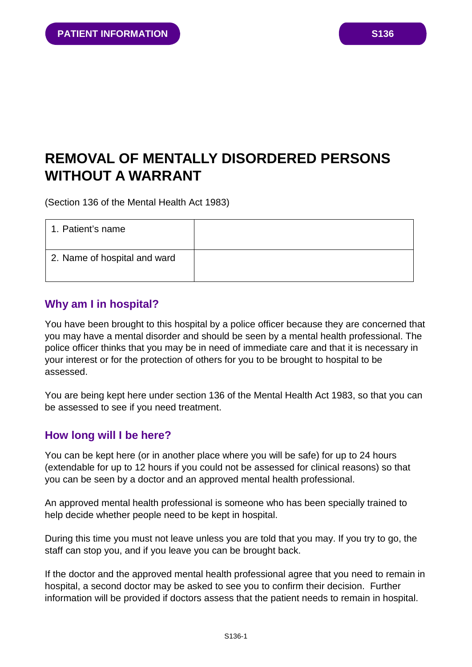# **REMOVAL OF MENTALLY DISORDERED PERSONS WITHOUT A WARRANT**

(Section 136 of the Mental Health Act 1983)

| 1. Patient's name            |  |
|------------------------------|--|
| 2. Name of hospital and ward |  |

## **Why am I in hospital?**

You have been brought to this hospital by a police officer because they are concerned that you may have a mental disorder and should be seen by a mental health professional. The police officer thinks that you may be in need of immediate care and that it is necessary in your interest or for the protection of others for you to be brought to hospital to be assessed.

You are being kept here under section 136 of the Mental Health Act 1983, so that you can be assessed to see if you need treatment.

# **How long will I be here?**

You can be kept here (or in another place where you will be safe) for up to 24 hours (extendable for up to 12 hours if you could not be assessed for clinical reasons) so that you can be seen by a doctor and an approved mental health professional.

An approved mental health professional is someone who has been specially trained to help decide whether people need to be kept in hospital.

During this time you must not leave unless you are told that you may. If you try to go, the staff can stop you, and if you leave you can be brought back.

If the doctor and the approved mental health professional agree that you need to remain in hospital, a second doctor may be asked to see you to confirm their decision. Further information will be provided if doctors assess that the patient needs to remain in hospital.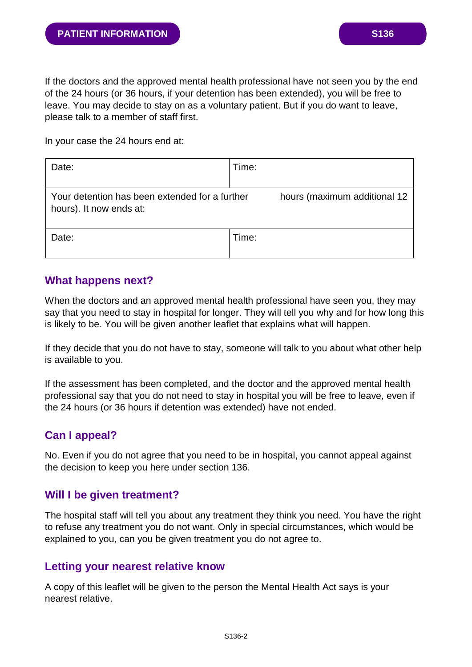In your case the 24 hours end at:

| Date:                                                                                                     | Time: |  |
|-----------------------------------------------------------------------------------------------------------|-------|--|
| hours (maximum additional 12<br>Your detention has been extended for a further<br>hours). It now ends at: |       |  |
| Date:                                                                                                     | Time: |  |

## **What happens next?**

When the doctors and an approved mental health professional have seen you, they may say that you need to stay in hospital for longer. They will tell you why and for how long this is likely to be. You will be given another leaflet that explains what will happen.

If they decide that you do not have to stay, someone will talk to you about what other help is available to you.

If the assessment has been completed, and the doctor and the approved mental health professional say that you do not need to stay in hospital you will be free to leave, even if the 24 hours (or 36 hours if detention was extended) have not ended.

# **Can I appeal?**

No. Even if you do not agree that you need to be in hospital, you cannot appeal against the decision to keep you here under section 136.

## **Will I be given treatment?**

The hospital staff will tell you about any treatment they think you need. You have the right to refuse any treatment you do not want. Only in special circumstances, which would be explained to you, can you be given treatment you do not agree to.

## **Letting your nearest relative know**

A copy of this leaflet will be given to the person the Mental Health Act says is your nearest relative.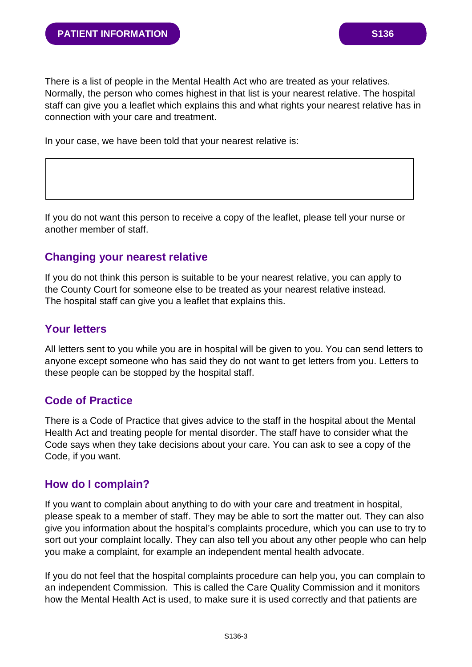There is a list of people in the Mental Health Act who are treated as your relatives. Normally, the person who comes highest in that list is your nearest relative. The hospital staff can give you a leaflet which explains this and what rights your nearest relative has in connection with your care and treatment.

In your case, we have been told that your nearest relative is:

If you do not want this person to receive a copy of the leaflet, please tell your nurse or another member of staff.

#### **Changing your nearest relative**

If you do not think this person is suitable to be your nearest relative, you can apply to the County Court for someone else to be treated as your nearest relative instead. The hospital staff can give you a leaflet that explains this.

## **Your letters**

All letters sent to you while you are in hospital will be given to you. You can send letters to anyone except someone who has said they do not want to get letters from you. Letters to these people can be stopped by the hospital staff.

## **Code of Practice**

There is a Code of Practice that gives advice to the staff in the hospital about the Mental Health Act and treating people for mental disorder. The staff have to consider what the Code says when they take decisions about your care. You can ask to see a copy of the Code, if you want.

#### **How do I complain?**

If you want to complain about anything to do with your care and treatment in hospital, please speak to a member of staff. They may be able to sort the matter out. They can also give you information about the hospital's complaints procedure, which you can use to try to sort out your complaint locally. They can also tell you about any other people who can help you make a complaint, for example an independent mental health advocate.

If you do not feel that the hospital complaints procedure can help you, you can complain to an independent Commission. This is called the Care Quality Commission and it monitors how the Mental Health Act is used, to make sure it is used correctly and that patients are